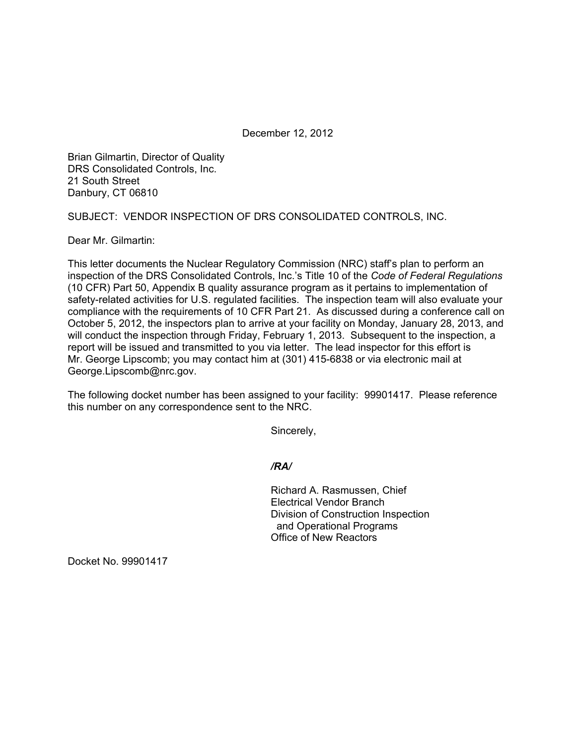December 12, 2012

Brian Gilmartin, Director of Quality DRS Consolidated Controls, Inc. 21 South Street Danbury, CT 06810

SUBJECT: VENDOR INSPECTION OF DRS CONSOLIDATED CONTROLS, INC.

Dear Mr. Gilmartin:

This letter documents the Nuclear Regulatory Commission (NRC) staff's plan to perform an inspection of the DRS Consolidated Controls, Inc.'s Title 10 of the *Code of Federal Regulations*  (10 CFR) Part 50, Appendix B quality assurance program as it pertains to implementation of safety-related activities for U.S. regulated facilities. The inspection team will also evaluate your compliance with the requirements of 10 CFR Part 21. As discussed during a conference call on October 5, 2012, the inspectors plan to arrive at your facility on Monday, January 28, 2013, and will conduct the inspection through Friday, February 1, 2013. Subsequent to the inspection, a report will be issued and transmitted to you via letter. The lead inspector for this effort is Mr. George Lipscomb; you may contact him at (301) 415-6838 or via electronic mail at George.Lipscomb@nrc.gov.

The following docket number has been assigned to your facility: 99901417. Please reference this number on any correspondence sent to the NRC.

Sincerely,

*/RA/* 

Richard A. Rasmussen, Chief Electrical Vendor Branch Division of Construction Inspection and Operational Programs Office of New Reactors

Docket No. 99901417